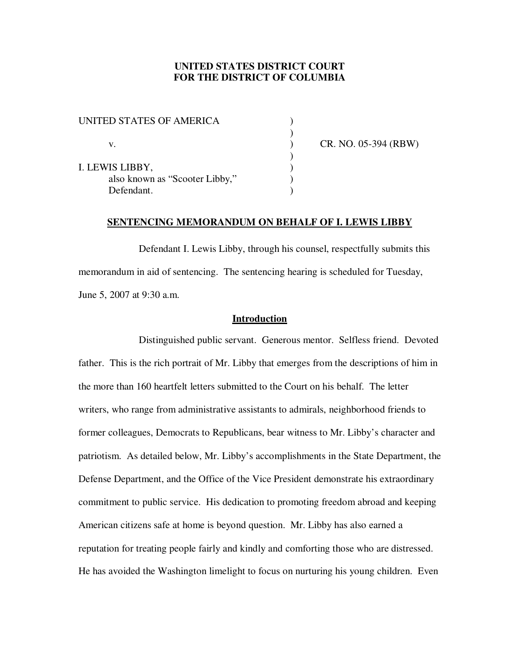## **UNITED STATES DISTRICT COURT FOR THE DISTRICT OF COLUMBIA**

)

)

UNITED STATES OF AMERICA v. **CR. NO. 05-394 (RBW)** I. LEWIS LIBBY, ) also known as "Scooter Libby," ) Defendant.

### **SENTENCING MEMORANDUM ON BEHALF OF I. LEWIS LIBBY**

Defendant I. Lewis Libby, through his counsel, respectfully submits this memorandum in aid of sentencing. The sentencing hearing is scheduled for Tuesday, June 5, 2007 at 9:30 a.m.

#### **Introduction**

Distinguished public servant. Generous mentor. Selfless friend. Devoted father. This is the rich portrait of Mr. Libby that emerges from the descriptions of him in the more than 160 heartfelt letters submitted to the Court on his behalf. The letter writers, who range from administrative assistants to admirals, neighborhood friends to former colleagues, Democrats to Republicans, bear witness to Mr. Libby's character and patriotism. As detailed below, Mr. Libby's accomplishments in the State Department, the Defense Department, and the Office of the Vice President demonstrate his extraordinary commitment to public service. His dedication to promoting freedom abroad and keeping American citizens safe at home is beyond question. Mr. Libby has also earned a reputation for treating people fairly and kindly and comforting those who are distressed. He has avoided the Washington limelight to focus on nurturing his young children. Even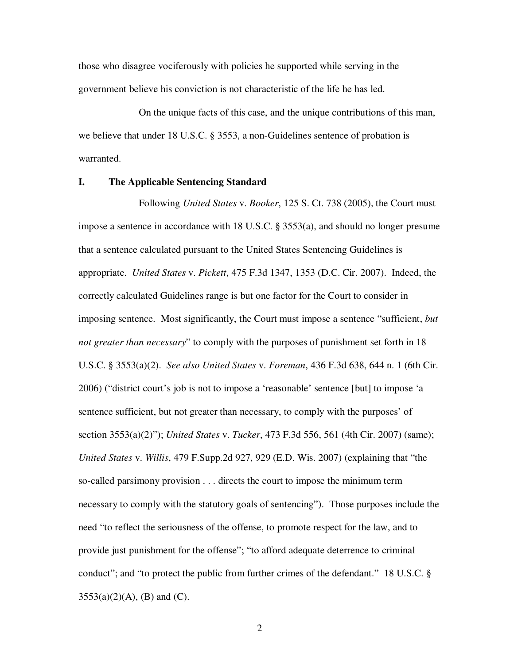those who disagree vociferously with policies he supported while serving in the government believe his conviction is not characteristic of the life he has led.

On the unique facts of this case, and the unique contributions of this man, we believe that under 18 U.S.C. § 3553, a non-Guidelines sentence of probation is warranted.

## **I. The Applicable Sentencing Standard**

Following *United States* v. *Booker*, 125 S. Ct. 738 (2005), the Court must impose a sentence in accordance with 18 U.S.C. § 3553(a), and should no longer presume that a sentence calculated pursuant to the United States Sentencing Guidelines is appropriate. *United States* v. *Pickett*, 475 F.3d 1347, 1353 (D.C. Cir. 2007). Indeed, the correctly calculated Guidelines range is but one factor for the Court to consider in imposing sentence. Most significantly, the Court must impose a sentence "sufficient, *but not greater than necessary*" to comply with the purposes of punishment set forth in 18 U.S.C. § 3553(a)(2). *See also United States* v. *Foreman*, 436 F.3d 638, 644 n. 1 (6th Cir. 2006) ("district court's job is not to impose a 'reasonable' sentence [but] to impose 'a sentence sufficient, but not greater than necessary, to comply with the purposes' of section 3553(a)(2)"); *United States* v. *Tucker*, 473 F.3d 556, 561 (4th Cir. 2007) (same); *United States* v. *Willis*, 479 F.Supp.2d 927, 929 (E.D. Wis. 2007) (explaining that "the so-called parsimony provision . . . directs the court to impose the minimum term necessary to comply with the statutory goals of sentencing"). Those purposes include the need "to reflect the seriousness of the offense, to promote respect for the law, and to provide just punishment for the offense"; "to afford adequate deterrence to criminal conduct"; and "to protect the public from further crimes of the defendant." 18 U.S.C. §  $3553(a)(2)(A)$ , (B) and (C).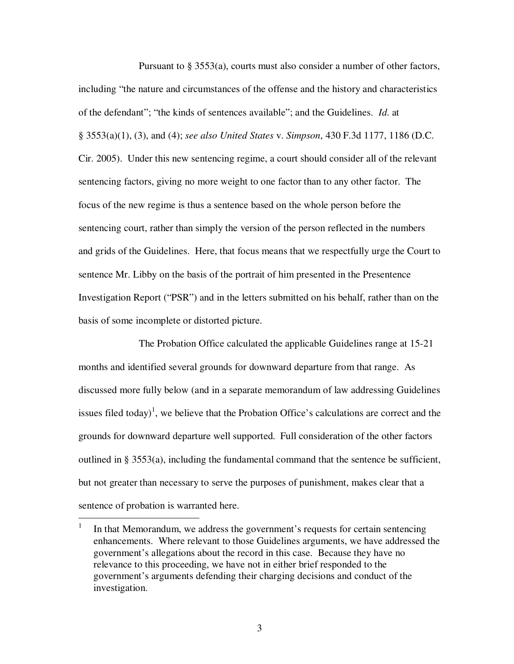Pursuant to § 3553(a), courts must also consider a number of other factors, including "the nature and circumstances of the offense and the history and characteristics of the defendant"; "the kinds of sentences available"; and the Guidelines. *Id*. at § 3553(a)(1), (3), and (4); *see also United States* v. *Simpson*, 430 F.3d 1177, 1186 (D.C. Cir. 2005). Under this new sentencing regime, a court should consider all of the relevant sentencing factors, giving no more weight to one factor than to any other factor. The focus of the new regime is thus a sentence based on the whole person before the sentencing court, rather than simply the version of the person reflected in the numbers and grids of the Guidelines. Here, that focus means that we respectfully urge the Court to sentence Mr. Libby on the basis of the portrait of him presented in the Presentence Investigation Report ("PSR") and in the letters submitted on his behalf, rather than on the basis of some incomplete or distorted picture.

The Probation Office calculated the applicable Guidelines range at 15-21 months and identified several grounds for downward departure from that range. As discussed more fully below (and in a separate memorandum of law addressing Guidelines issues filed today)<sup>1</sup>, we believe that the Probation Office's calculations are correct and the grounds for downward departure well supported. Full consideration of the other factors outlined in § 3553(a), including the fundamental command that the sentence be sufficient, but not greater than necessary to serve the purposes of punishment, makes clear that a sentence of probation is warranted here.

<sup>1</sup> In that Memorandum, we address the government's requests for certain sentencing enhancements. Where relevant to those Guidelines arguments, we have addressed the government's allegations about the record in this case. Because they have no relevance to this proceeding, we have not in either brief responded to the government's arguments defending their charging decisions and conduct of the investigation.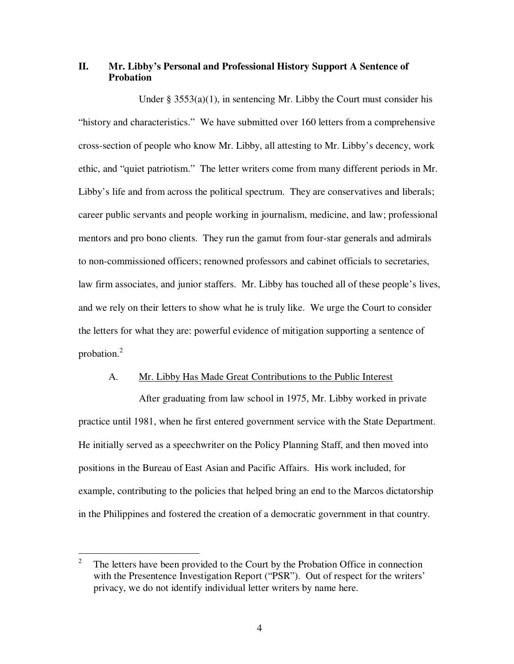# **II. Mr. Libby's Personal and Professional History Support A Sentence of Probation**

Under  $\S$  3553(a)(1), in sentencing Mr. Libby the Court must consider his "history and characteristics." We have submitted over 160 letters from a comprehensive cross-section of people who know Mr. Libby, all attesting to Mr. Libby's decency, work ethic, and "quiet patriotism." The letter writers come from many different periods in Mr. Libby's life and from across the political spectrum. They are conservatives and liberals; career public servants and people working in journalism, medicine, and law; professional mentors and pro bono clients. They run the gamut from four-star generals and admirals to non-commissioned officers; renowned professors and cabinet officials to secretaries, law firm associates, and junior staffers. Mr. Libby has touched all of these people's lives, and we rely on their letters to show what he is truly like. We urge the Court to consider the letters for what they are: powerful evidence of mitigation supporting a sentence of probation. 2

#### A. Mr. Libby Has Made Great Contributions to the Public Interest

After graduating from law school in 1975, Mr. Libby worked in private practice until 1981, when he first entered government service with the State Department. He initially served as a speechwriter on the Policy Planning Staff, and then moved into positions in the Bureau of East Asian and Pacific Affairs. His work included, for example, contributing to the policies that helped bring an end to the Marcos dictatorship in the Philippines and fostered the creation of a democratic government in that country.

<sup>2</sup> The letters have been provided to the Court by the Probation Office in connection with the Presentence Investigation Report ("PSR"). Out of respect for the writers' privacy, we do not identify individual letter writers by name here.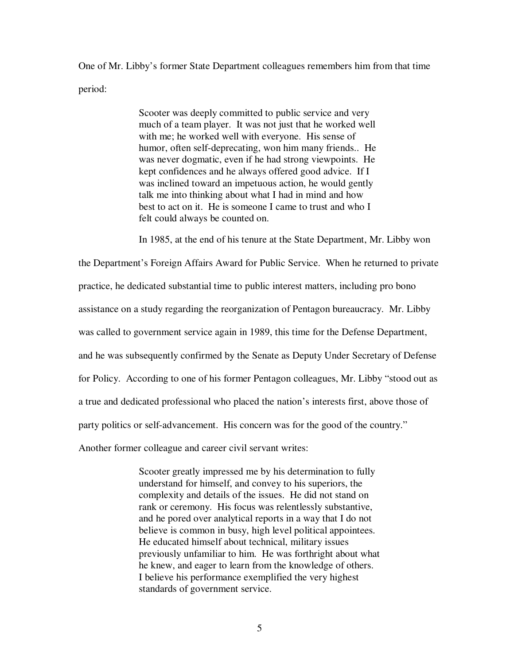One of Mr. Libby's former State Department colleagues remembers him from that time period:

> Scooter was deeply committed to public service and very much of a team player. It was not just that he worked well with me; he worked well with everyone. His sense of humor, often self-deprecating, won him many friends.. He was never dogmatic, even if he had strong viewpoints. He kept confidences and he always offered good advice. If I was inclined toward an impetuous action, he would gently talk me into thinking about what I had in mind and how best to act on it. He is someone I came to trust and who I felt could always be counted on.

In 1985, at the end of his tenure at the State Department, Mr. Libby won

the Department's Foreign Affairs Award for Public Service. When he returned to private practice, he dedicated substantial time to public interest matters, including pro bono assistance on a study regarding the reorganization of Pentagon bureaucracy. Mr. Libby was called to government service again in 1989, this time for the Defense Department, and he was subsequently confirmed by the Senate as Deputy Under Secretary of Defense for Policy. According to one of his former Pentagon colleagues, Mr. Libby "stood out as a true and dedicated professional who placed the nation's interests first, above those of party politics or self-advancement. His concern was for the good of the country."

Another former colleague and career civil servant writes:

Scooter greatly impressed me by his determination to fully understand for himself, and convey to his superiors, the complexity and details of the issues. He did not stand on rank or ceremony. His focus was relentlessly substantive, and he pored over analytical reports in a way that I do not believe is common in busy, high level political appointees. He educated himself about technical, military issues previously unfamiliar to him. He was forthright about what he knew, and eager to learn from the knowledge of others. I believe his performance exemplified the very highest standards of government service.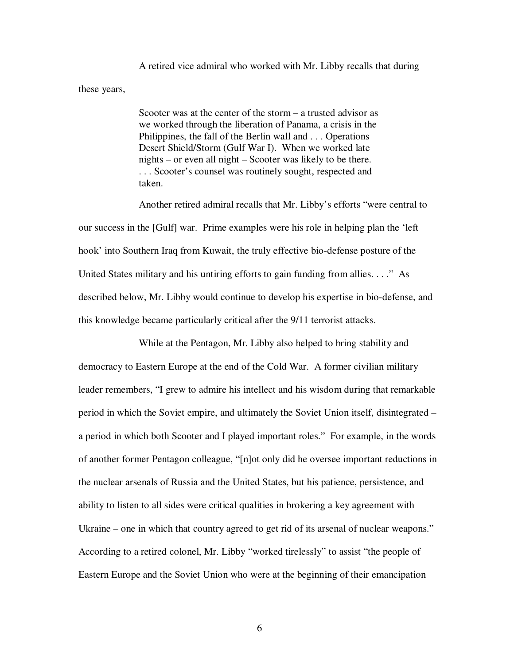A retired vice admiral who worked with Mr. Libby recalls that during these years,

> Scooter was at the center of the storm – a trusted advisor as we worked through the liberation of Panama, a crisis in the Philippines, the fall of the Berlin wall and . . . Operations Desert Shield/Storm (Gulf War I). When we worked late nights – or even all night – Scooter was likely to be there. . . . Scooter's counsel was routinely sought, respected and taken.

Another retired admiral recalls that Mr. Libby's efforts "were central to our success in the [Gulf] war. Prime examples were his role in helping plan the 'left hook' into Southern Iraq from Kuwait, the truly effective bio-defense posture of the United States military and his untiring efforts to gain funding from allies. . . ." As described below, Mr. Libby would continue to develop his expertise in bio-defense, and this knowledge became particularly critical after the 9/11 terrorist attacks.

While at the Pentagon, Mr. Libby also helped to bring stability and democracy to Eastern Europe at the end of the Cold War. A former civilian military leader remembers, "I grew to admire his intellect and his wisdom during that remarkable period in which the Soviet empire, and ultimately the Soviet Union itself, disintegrated – a period in which both Scooter and I played important roles." For example, in the words of another former Pentagon colleague, "[n]ot only did he oversee important reductions in the nuclear arsenals of Russia and the United States, but his patience, persistence, and ability to listen to all sides were critical qualities in brokering a key agreement with Ukraine – one in which that country agreed to get rid of its arsenal of nuclear weapons." According to a retired colonel, Mr. Libby "worked tirelessly" to assist "the people of Eastern Europe and the Soviet Union who were at the beginning of their emancipation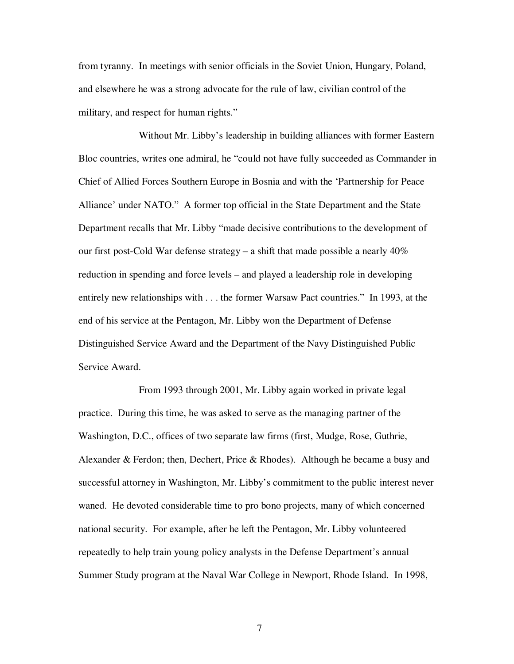from tyranny. In meetings with senior officials in the Soviet Union, Hungary, Poland, and elsewhere he was a strong advocate for the rule of law, civilian control of the military, and respect for human rights."

Without Mr. Libby's leadership in building alliances with former Eastern Bloc countries, writes one admiral, he "could not have fully succeeded as Commander in Chief of Allied Forces Southern Europe in Bosnia and with the 'Partnership for Peace Alliance' under NATO." A former top official in the State Department and the State Department recalls that Mr. Libby "made decisive contributions to the development of our first post-Cold War defense strategy – a shift that made possible a nearly  $40\%$ reduction in spending and force levels – and played a leadership role in developing entirely new relationships with . . . the former Warsaw Pact countries." In 1993, at the end of his service at the Pentagon, Mr. Libby won the Department of Defense Distinguished Service Award and the Department of the Navy Distinguished Public Service Award.

From 1993 through 2001, Mr. Libby again worked in private legal practice. During this time, he was asked to serve as the managing partner of the Washington, D.C., offices of two separate law firms (first, Mudge, Rose, Guthrie, Alexander & Ferdon; then, Dechert, Price & Rhodes). Although he became a busy and successful attorney in Washington, Mr. Libby's commitment to the public interest never waned. He devoted considerable time to pro bono projects, many of which concerned national security. For example, after he left the Pentagon, Mr. Libby volunteered repeatedly to help train young policy analysts in the Defense Department's annual Summer Study program at the Naval War College in Newport, Rhode Island. In 1998,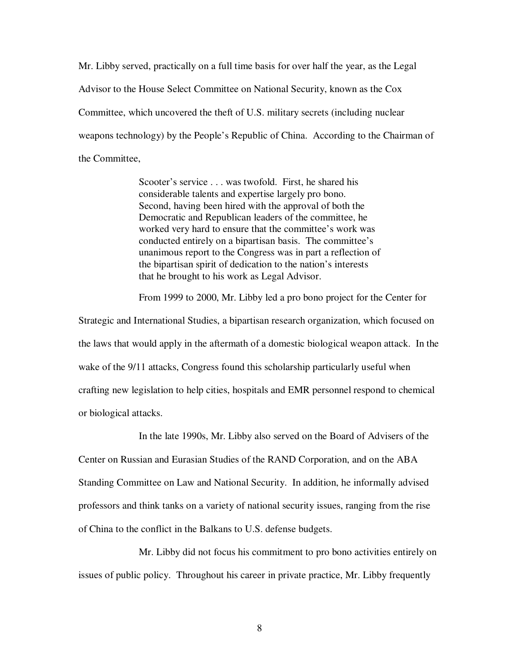Mr. Libby served, practically on a full time basis for over half the year, as the Legal Advisor to the House Select Committee on National Security, known as the Cox Committee, which uncovered the theft of U.S. military secrets (including nuclear weapons technology) by the People's Republic of China. According to the Chairman of the Committee,

> Scooter's service . . . was twofold. First, he shared his considerable talents and expertise largely pro bono. Second, having been hired with the approval of both the Democratic and Republican leaders of the committee, he worked very hard to ensure that the committee's work was conducted entirely on a bipartisan basis. The committee's unanimous report to the Congress was in part a reflection of the bipartisan spirit of dedication to the nation's interests that he brought to his work as Legal Advisor.

From 1999 to 2000, Mr. Libby led a pro bono project for the Center for

Strategic and International Studies, a bipartisan research organization, which focused on the laws that would apply in the aftermath of a domestic biological weapon attack. In the wake of the 9/11 attacks, Congress found this scholarship particularly useful when crafting new legislation to help cities, hospitals and EMR personnel respond to chemical or biological attacks.

In the late 1990s, Mr. Libby also served on the Board of Advisers of the Center on Russian and Eurasian Studies of the RAND Corporation, and on the ABA Standing Committee on Law and National Security. In addition, he informally advised professors and think tanks on a variety of national security issues, ranging from the rise of China to the conflict in the Balkans to U.S. defense budgets.

Mr. Libby did not focus his commitment to pro bono activities entirely on issues of public policy. Throughout his career in private practice, Mr. Libby frequently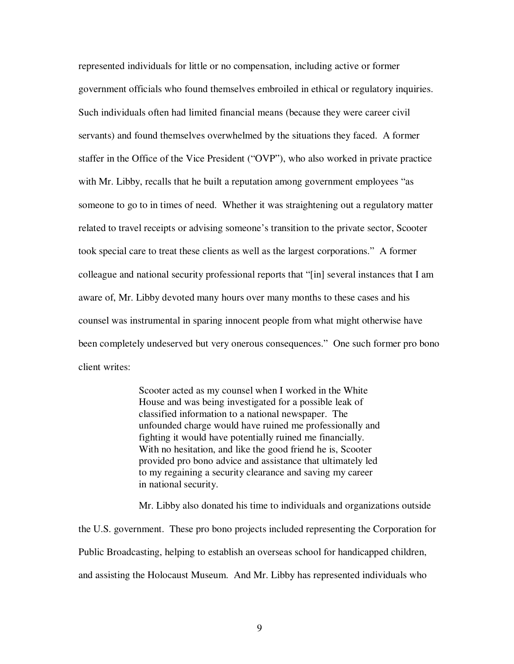represented individuals for little or no compensation, including active or former government officials who found themselves embroiled in ethical or regulatory inquiries. Such individuals often had limited financial means (because they were career civil servants) and found themselves overwhelmed by the situations they faced. A former staffer in the Office of the Vice President ("OVP"), who also worked in private practice with Mr. Libby, recalls that he built a reputation among government employees "as someone to go to in times of need. Whether it was straightening out a regulatory matter related to travel receipts or advising someone's transition to the private sector, Scooter took special care to treat these clients as well as the largest corporations." A former colleague and national security professional reports that "[in] several instances that I am aware of, Mr. Libby devoted many hours over many months to these cases and his counsel was instrumental in sparing innocent people from what might otherwise have been completely undeserved but very onerous consequences." One such former pro bono client writes:

> Scooter acted as my counsel when I worked in the White House and was being investigated for a possible leak of classified information to a national newspaper. The unfounded charge would have ruined me professionally and fighting it would have potentially ruined me financially. With no hesitation, and like the good friend he is, Scooter provided pro bono advice and assistance that ultimately led to my regaining a security clearance and saving my career in national security.

Mr. Libby also donated his time to individuals and organizations outside

the U.S. government. These pro bono projects included representing the Corporation for Public Broadcasting, helping to establish an overseas school for handicapped children, and assisting the Holocaust Museum. And Mr. Libby has represented individuals who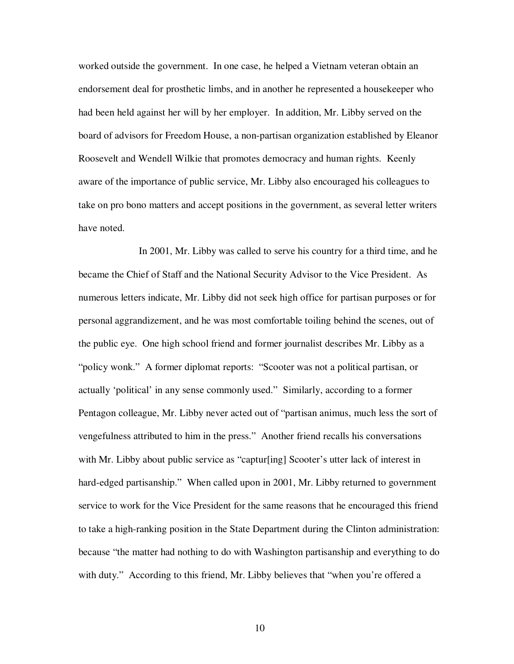worked outside the government. In one case, he helped a Vietnam veteran obtain an endorsement deal for prosthetic limbs, and in another he represented a housekeeper who had been held against her will by her employer. In addition, Mr. Libby served on the board of advisors for Freedom House, a non-partisan organization established by Eleanor Roosevelt and Wendell Wilkie that promotes democracy and human rights. Keenly aware of the importance of public service, Mr. Libby also encouraged his colleagues to take on pro bono matters and accept positions in the government, as several letter writers have noted.

In 2001, Mr. Libby was called to serve his country for a third time, and he became the Chief of Staff and the National Security Advisor to the Vice President. As numerous letters indicate, Mr. Libby did not seek high office for partisan purposes or for personal aggrandizement, and he was most comfortable toiling behind the scenes, out of the public eye. One high school friend and former journalist describes Mr. Libby as a "policy wonk." A former diplomat reports: "Scooter was not a political partisan, or actually 'political' in any sense commonly used." Similarly, according to a former Pentagon colleague, Mr. Libby never acted out of "partisan animus, much less the sort of vengefulness attributed to him in the press." Another friend recalls his conversations with Mr. Libby about public service as "captur[ing] Scooter's utter lack of interest in hard-edged partisanship." When called upon in 2001, Mr. Libby returned to government service to work for the Vice President for the same reasons that he encouraged this friend to take a high-ranking position in the State Department during the Clinton administration: because "the matter had nothing to do with Washington partisanship and everything to do with duty." According to this friend, Mr. Libby believes that "when you're offered a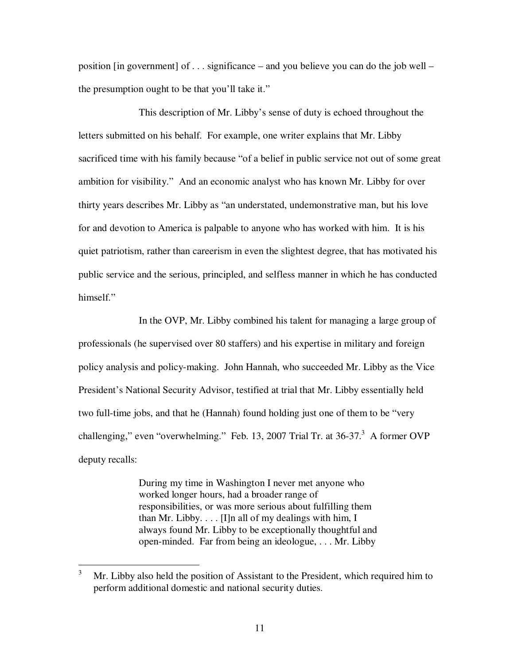position [in government] of . . . significance – and you believe you can do the job well – the presumption ought to be that you'll take it."

This description of Mr. Libby's sense of duty is echoed throughout the letters submitted on his behalf. For example, one writer explains that Mr. Libby sacrificed time with his family because "of a belief in public service not out of some great ambition for visibility." And an economic analyst who has known Mr. Libby for over thirty years describes Mr. Libby as "an understated, undemonstrative man, but his love for and devotion to America is palpable to anyone who has worked with him. It is his quiet patriotism, rather than careerism in even the slightest degree, that has motivated his public service and the serious, principled, and selfless manner in which he has conducted himself."

In the OVP, Mr. Libby combined his talent for managing a large group of professionals (he supervised over 80 staffers) and his expertise in military and foreign policy analysis and policy-making. John Hannah, who succeeded Mr. Libby as the Vice President's National Security Advisor, testified at trial that Mr. Libby essentially held two full-time jobs, and that he (Hannah) found holding just one of them to be "very challenging," even "overwhelming." Feb. 13, 2007 Trial Tr. at 36-37.<sup>3</sup> A former OVP deputy recalls:

> During my time in Washington I never met anyone who worked longer hours, had a broader range of responsibilities, or was more serious about fulfilling them than Mr. Libby.  $\dots$  [I]n all of my dealings with him, I always found Mr. Libby to be exceptionally thoughtful and open-minded. Far from being an ideologue, . . . Mr. Libby

 $3$  Mr. Libby also held the position of Assistant to the President, which required him to perform additional domestic and national security duties.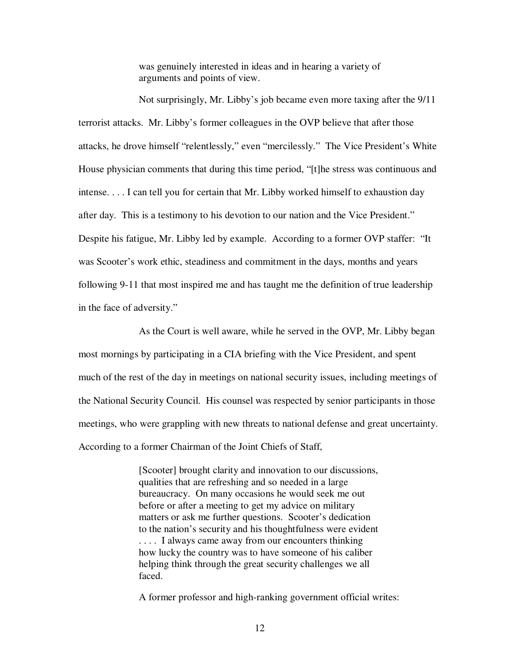was genuinely interested in ideas and in hearing a variety of arguments and points of view.

Not surprisingly, Mr. Libby's job became even more taxing after the 9/11 terrorist attacks. Mr. Libby's former colleagues in the OVP believe that after those attacks, he drove himself "relentlessly," even "mercilessly." The Vice President's White House physician comments that during this time period, "[t]he stress was continuous and intense. . . . I can tell you for certain that Mr. Libby worked himself to exhaustion day after day. This is a testimony to his devotion to our nation and the Vice President." Despite his fatigue, Mr. Libby led by example. According to a former OVP staffer: "It was Scooter's work ethic, steadiness and commitment in the days, months and years following 9-11 that most inspired me and has taught me the definition of true leadership in the face of adversity."

As the Court is well aware, while he served in the OVP, Mr. Libby began most mornings by participating in a CIA briefing with the Vice President, and spent much of the rest of the day in meetings on national security issues, including meetings of the National Security Council. His counsel was respected by senior participants in those meetings, who were grappling with new threats to national defense and great uncertainty. According to a former Chairman of the Joint Chiefs of Staff,

> [Scooter] brought clarity and innovation to our discussions, qualities that are refreshing and so needed in a large bureaucracy. On many occasions he would seek me out before or after a meeting to get my advice on military matters or ask me further questions. Scooter's dedication to the nation's security and his thoughtfulness were evident .... I always came away from our encounters thinking how lucky the country was to have someone of his caliber helping think through the great security challenges we all faced.

A former professor and high-ranking government official writes: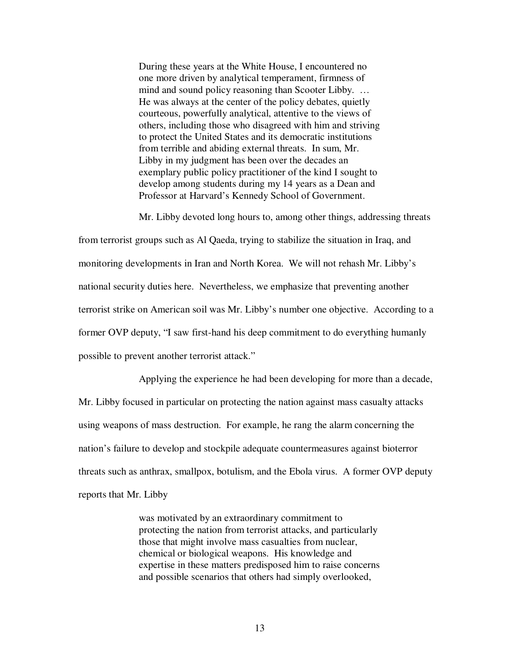During these years at the White House, I encountered no one more driven by analytical temperament, firmness of mind and sound policy reasoning than Scooter Libby. … He was always at the center of the policy debates, quietly courteous, powerfully analytical, attentive to the views of others, including those who disagreed with him and striving to protect the United States and its democratic institutions from terrible and abiding external threats. In sum, Mr. Libby in my judgment has been over the decades an exemplary public policy practitioner of the kind I sought to develop among students during my 14 years as a Dean and Professor at Harvard's Kennedy School of Government.

Mr. Libby devoted long hours to, among other things, addressing threats

from terrorist groups such as Al Qaeda, trying to stabilize the situation in Iraq, and monitoring developments in Iran and North Korea. We will not rehash Mr. Libby's national security duties here. Nevertheless, we emphasize that preventing another terrorist strike on American soil was Mr. Libby's number one objective. According to a former OVP deputy, "I saw first-hand his deep commitment to do everything humanly possible to prevent another terrorist attack."

Applying the experience he had been developing for more than a decade,

Mr. Libby focused in particular on protecting the nation against mass casualty attacks using weapons of mass destruction. For example, he rang the alarm concerning the nation's failure to develop and stockpile adequate countermeasures against bioterror threats such as anthrax, smallpox, botulism, and the Ebola virus. A former OVP deputy reports that Mr. Libby

> was motivated by an extraordinary commitment to protecting the nation from terrorist attacks, and particularly those that might involve mass casualties from nuclear, chemical or biological weapons. His knowledge and expertise in these matters predisposed him to raise concerns and possible scenarios that others had simply overlooked,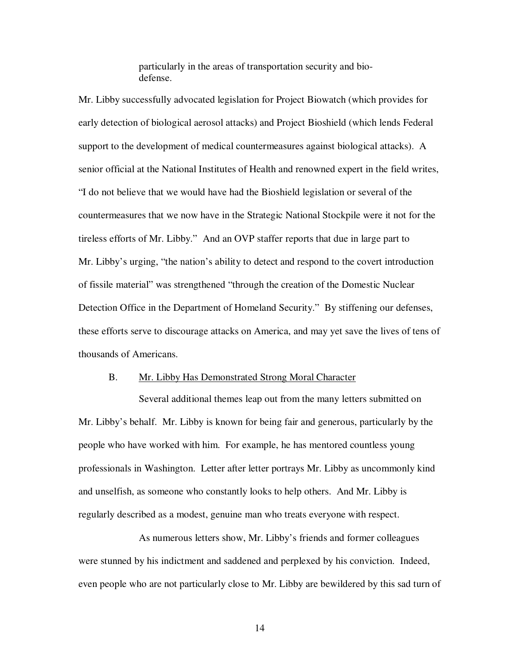particularly in the areas of transportation security and biodefense.

Mr. Libby successfully advocated legislation for Project Biowatch (which provides for early detection of biological aerosol attacks) and Project Bioshield (which lends Federal support to the development of medical countermeasures against biological attacks). A senior official at the National Institutes of Health and renowned expert in the field writes, "I do not believe that we would have had the Bioshield legislation or several of the countermeasures that we now have in the Strategic National Stockpile were it not for the tireless efforts of Mr. Libby." And an OVP staffer reports that due in large part to Mr. Libby's urging, "the nation's ability to detect and respond to the covert introduction of fissile material" was strengthened "through the creation of the Domestic Nuclear Detection Office in the Department of Homeland Security." By stiffening our defenses, these efforts serve to discourage attacks on America, and may yet save the lives of tens of thousands of Americans.

#### B. Mr. Libby Has Demonstrated Strong Moral Character

Several additional themes leap out from the many letters submitted on Mr. Libby's behalf. Mr. Libby is known for being fair and generous, particularly by the people who have worked with him. For example, he has mentored countless young professionals in Washington. Letter after letter portrays Mr. Libby as uncommonly kind and unselfish, as someone who constantly looks to help others. And Mr. Libby is regularly described as a modest, genuine man who treats everyone with respect.

As numerous letters show, Mr. Libby's friends and former colleagues were stunned by his indictment and saddened and perplexed by his conviction. Indeed, even people who are not particularly close to Mr. Libby are bewildered by this sad turn of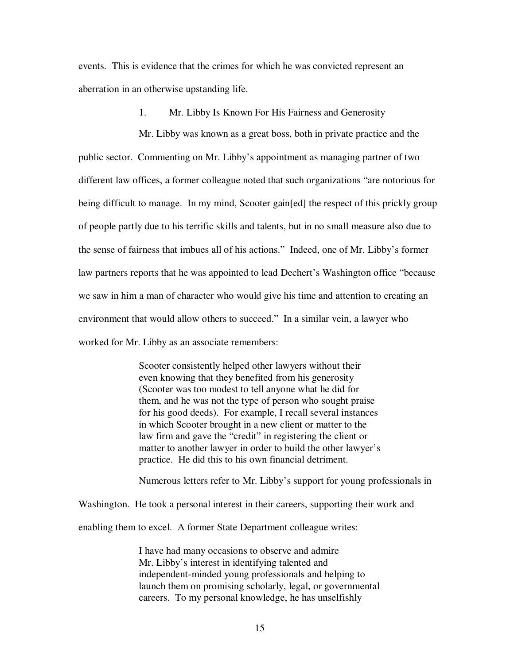events. This is evidence that the crimes for which he was convicted represent an aberration in an otherwise upstanding life.

1. Mr. Libby Is Known For His Fairness and Generosity

Mr. Libby was known as a great boss, both in private practice and the public sector. Commenting on Mr. Libby's appointment as managing partner of two

different law offices, a former colleague noted that such organizations "are notorious for

being difficult to manage. In my mind, Scooter gain[ed] the respect of this prickly group

of people partly due to his terrific skills and talents, but in no small measure also due to

the sense of fairness that imbues all of his actions." Indeed, one of Mr. Libby's former

law partners reports that he was appointed to lead Dechert's Washington office "because

we saw in him a man of character who would give his time and attention to creating an

environment that would allow others to succeed." In a similar vein, a lawyer who

worked for Mr. Libby as an associate remembers:

Scooter consistently helped other lawyers without their even knowing that they benefited from his generosity (Scooter was too modest to tell anyone what he did for them, and he was not the type of person who sought praise for his good deeds). For example, I recall several instances in which Scooter brought in a new client or matter to the law firm and gave the "credit" in registering the client or matter to another lawyer in order to build the other lawyer's practice. He did this to his own financial detriment.

Numerous letters refer to Mr. Libby's support for young professionals in

Washington. He took a personal interest in their careers, supporting their work and

enabling them to excel. A former State Department colleague writes:

I have had many occasions to observe and admire Mr. Libby's interest in identifying talented and independent-minded young professionals and helping to launch them on promising scholarly, legal, or governmental careers. To my personal knowledge, he has unselfishly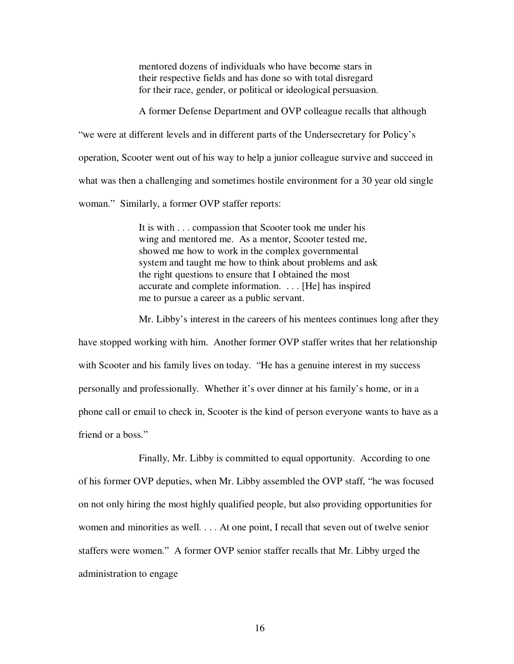mentored dozens of individuals who have become stars in their respective fields and has done so with total disregard for their race, gender, or political or ideological persuasion.

A former Defense Department and OVP colleague recalls that although

"we were at different levels and in different parts of the Undersecretary for Policy's operation, Scooter went out of his way to help a junior colleague survive and succeed in what was then a challenging and sometimes hostile environment for a 30 year old single woman." Similarly, a former OVP staffer reports:

> It is with . . . compassion that Scooter took me under his wing and mentored me. As a mentor, Scooter tested me, showed me how to work in the complex governmental system and taught me how to think about problems and ask the right questions to ensure that I obtained the most accurate and complete information. . . . [He] has inspired me to pursue a career as a public servant.

Mr. Libby's interest in the careers of his mentees continues long after they

have stopped working with him. Another former OVP staffer writes that her relationship with Scooter and his family lives on today. "He has a genuine interest in my success personally and professionally. Whether it's over dinner at his family's home, or in a phone call or email to check in, Scooter is the kind of person everyone wants to have as a friend or a boss."

Finally, Mr. Libby is committed to equal opportunity. According to one of his former OVP deputies, when Mr. Libby assembled the OVP staff, "he was focused on not only hiring the most highly qualified people, but also providing opportunities for women and minorities as well. . . . At one point, I recall that seven out of twelve senior staffers were women." A former OVP senior staffer recalls that Mr. Libby urged the administration to engage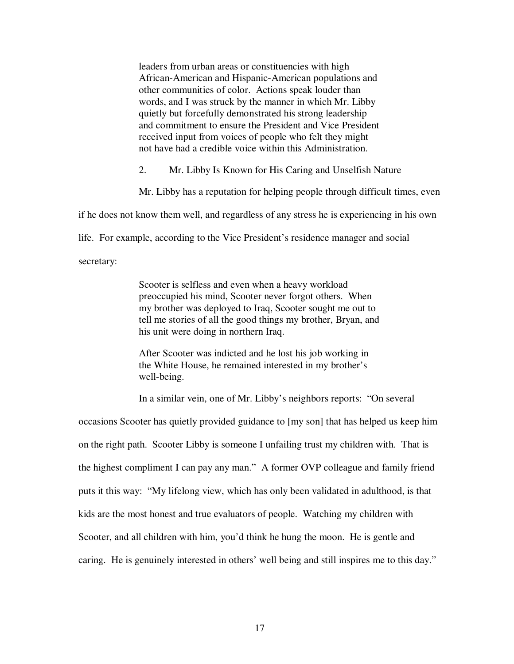leaders from urban areas or constituencies with high African-American and Hispanic-American populations and other communities of color. Actions speak louder than words, and I was struck by the manner in which Mr. Libby quietly but forcefully demonstrated his strong leadership and commitment to ensure the President and Vice President received input from voices of people who felt they might not have had a credible voice within this Administration.

2. Mr. Libby Is Known for His Caring and Unselfish Nature

Mr. Libby has a reputation for helping people through difficult times, even

if he does not know them well, and regardless of any stress he is experiencing in his own

life. For example, according to the Vice President's residence manager and social

secretary:

Scooter is selfless and even when a heavy workload preoccupied his mind, Scooter never forgot others. When my brother was deployed to Iraq, Scooter sought me out to tell me stories of all the good things my brother, Bryan, and his unit were doing in northern Iraq.

After Scooter was indicted and he lost his job working in the White House, he remained interested in my brother's well-being.

In a similar vein, one of Mr. Libby's neighbors reports: "On several

occasions Scooter has quietly provided guidance to [my son] that has helped us keep him on the right path. Scooter Libby is someone I unfailing trust my children with. That is the highest compliment I can pay any man." A former OVP colleague and family friend puts it this way: "My lifelong view, which has only been validated in adulthood, is that kids are the most honest and true evaluators of people. Watching my children with Scooter, and all children with him, you'd think he hung the moon. He is gentle and caring. He is genuinely interested in others' well being and still inspires me to this day."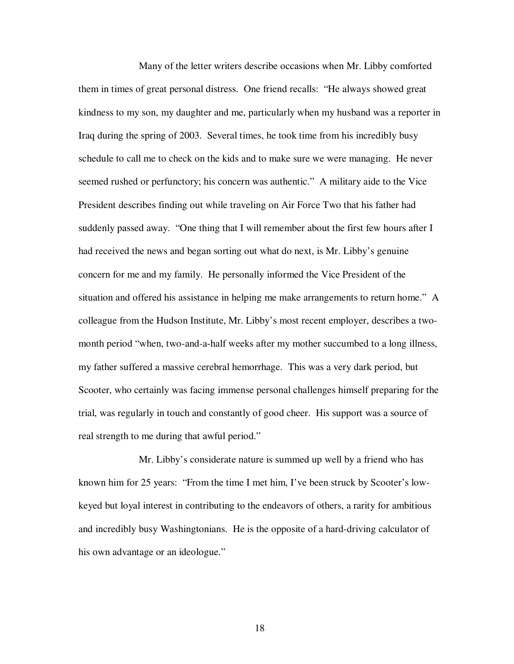Many of the letter writers describe occasions when Mr. Libby comforted them in times of great personal distress. One friend recalls: "He always showed great kindness to my son, my daughter and me, particularly when my husband was a reporter in Iraq during the spring of 2003. Several times, he took time from his incredibly busy schedule to call me to check on the kids and to make sure we were managing. He never seemed rushed or perfunctory; his concern was authentic." A military aide to the Vice President describes finding out while traveling on Air Force Two that his father had suddenly passed away. "One thing that I will remember about the first few hours after I had received the news and began sorting out what do next, is Mr. Libby's genuine concern for me and my family. He personally informed the Vice President of the situation and offered his assistance in helping me make arrangements to return home." A colleague from the Hudson Institute, Mr. Libby's most recent employer, describes a twomonth period "when, two-and-a-half weeks after my mother succumbed to a long illness, my father suffered a massive cerebral hemorrhage. This was a very dark period, but Scooter, who certainly was facing immense personal challenges himself preparing for the trial, was regularly in touch and constantly of good cheer. His support was a source of real strength to me during that awful period."

Mr. Libby's considerate nature is summed up well by a friend who has known him for 25 years: "From the time I met him, I've been struck by Scooter's lowkeyed but loyal interest in contributing to the endeavors of others, a rarity for ambitious and incredibly busy Washingtonians. He is the opposite of a hard-driving calculator of his own advantage or an ideologue."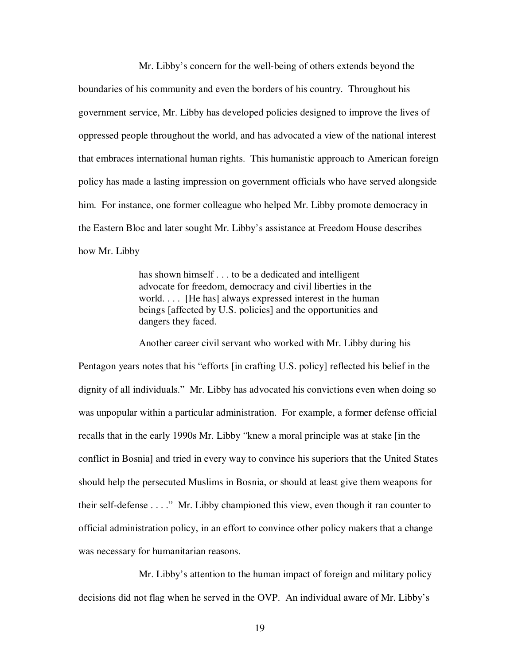Mr. Libby's concern for the well-being of others extends beyond the boundaries of his community and even the borders of his country. Throughout his government service, Mr. Libby has developed policies designed to improve the lives of oppressed people throughout the world, and has advocated a view of the national interest that embraces international human rights. This humanistic approach to American foreign policy has made a lasting impression on government officials who have served alongside him. For instance, one former colleague who helped Mr. Libby promote democracy in the Eastern Bloc and later sought Mr. Libby's assistance at Freedom House describes how Mr. Libby

> has shown himself . . . to be a dedicated and intelligent advocate for freedom, democracy and civil liberties in the world. . . . [He has] always expressed interest in the human beings [affected by U.S. policies] and the opportunities and dangers they faced.

Another career civil servant who worked with Mr. Libby during his Pentagon years notes that his "efforts [in crafting U.S. policy] reflected his belief in the dignity of all individuals." Mr. Libby has advocated his convictions even when doing so was unpopular within a particular administration. For example, a former defense official recalls that in the early 1990s Mr. Libby "knew a moral principle was at stake [in the conflict in Bosnia] and tried in every way to convince his superiors that the United States should help the persecuted Muslims in Bosnia, or should at least give them weapons for their self-defense . . . ." Mr. Libby championed this view, even though it ran counter to official administration policy, in an effort to convince other policy makers that a change was necessary for humanitarian reasons.

Mr. Libby's attention to the human impact of foreign and military policy decisions did not flag when he served in the OVP. An individual aware of Mr. Libby's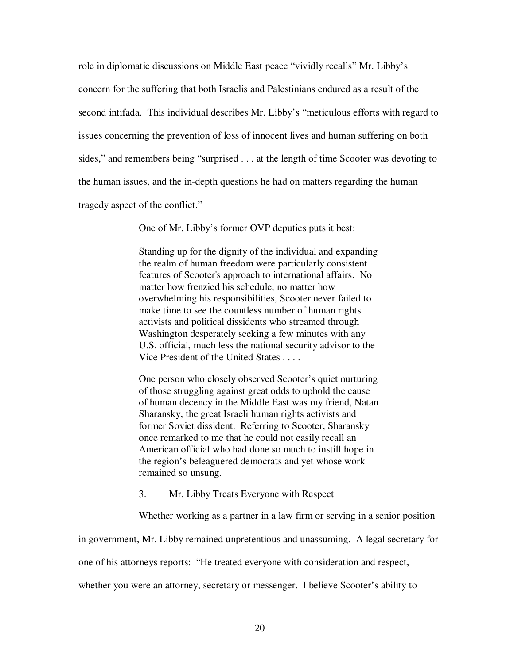role in diplomatic discussions on Middle East peace "vividly recalls" Mr. Libby's concern for the suffering that both Israelis and Palestinians endured as a result of the second intifada. This individual describes Mr. Libby's "meticulous efforts with regard to issues concerning the prevention of loss of innocent lives and human suffering on both sides," and remembers being "surprised . . . at the length of time Scooter was devoting to the human issues, and the in-depth questions he had on matters regarding the human tragedy aspect of the conflict."

One of Mr. Libby's former OVP deputies puts it best:

Standing up for the dignity of the individual and expanding the realm of human freedom were particularly consistent features of Scooter's approach to international affairs. No matter how frenzied his schedule, no matter how overwhelming his responsibilities, Scooter never failed to make time to see the countless number of human rights activists and political dissidents who streamed through Washington desperately seeking a few minutes with any U.S. official, much less the national security advisor to the Vice President of the United States . . . .

One person who closely observed Scooter's quiet nurturing of those struggling against great odds to uphold the cause of human decency in the Middle East was my friend, Natan Sharansky, the great Israeli human rights activists and former Soviet dissident. Referring to Scooter, Sharansky once remarked to me that he could not easily recall an American official who had done so much to instill hope in the region's beleaguered democrats and yet whose work remained so unsung.

3. Mr. Libby Treats Everyone with Respect

Whether working as a partner in a law firm or serving in a senior position

in government, Mr. Libby remained unpretentious and unassuming. A legal secretary for

one of his attorneys reports: "He treated everyone with consideration and respect,

whether you were an attorney, secretary or messenger. I believe Scooter's ability to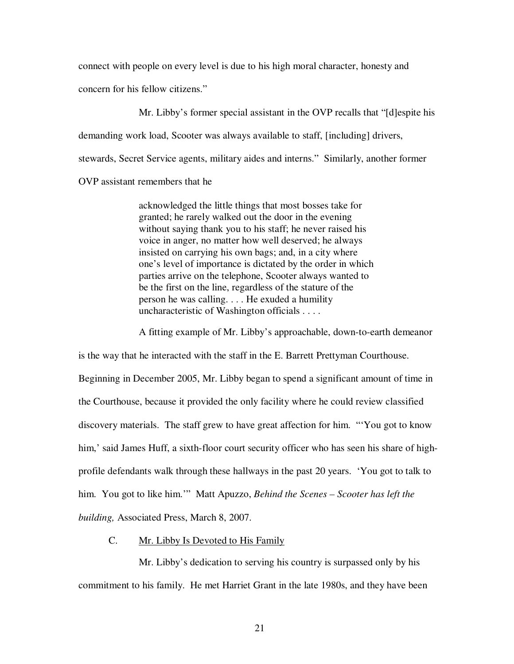connect with people on every level is due to his high moral character, honesty and

concern for his fellow citizens."

Mr. Libby's former special assistant in the OVP recalls that "[d]espite his demanding work load, Scooter was always available to staff, [including] drivers, stewards, Secret Service agents, military aides and interns." Similarly, another former OVP assistant remembers that he

> acknowledged the little things that most bosses take for granted; he rarely walked out the door in the evening without saying thank you to his staff; he never raised his voice in anger, no matter how well deserved; he always insisted on carrying his own bags; and, in a city where one's level of importance is dictated by the order in which parties arrive on the telephone, Scooter always wanted to be the first on the line, regardless of the stature of the person he was calling. . . . He exuded a humility uncharacteristic of Washington officials . . . .

A fitting example of Mr. Libby's approachable, down-to-earth demeanor

is the way that he interacted with the staff in the E. Barrett Prettyman Courthouse. Beginning in December 2005, Mr. Libby began to spend a significant amount of time in the Courthouse, because it provided the only facility where he could review classified discovery materials. The staff grew to have great affection for him. "'You got to know him,' said James Huff, a sixth-floor court security officer who has seen his share of highprofile defendants walk through these hallways in the past 20 years. 'You got to talk to him. You got to like him.'" Matt Apuzzo, *Behind the Scenes – Scooter has left the building,* Associated Press, March 8, 2007.

# C. Mr. Libby Is Devoted to His Family

Mr. Libby's dedication to serving his country is surpassed only by his commitment to his family. He met Harriet Grant in the late 1980s, and they have been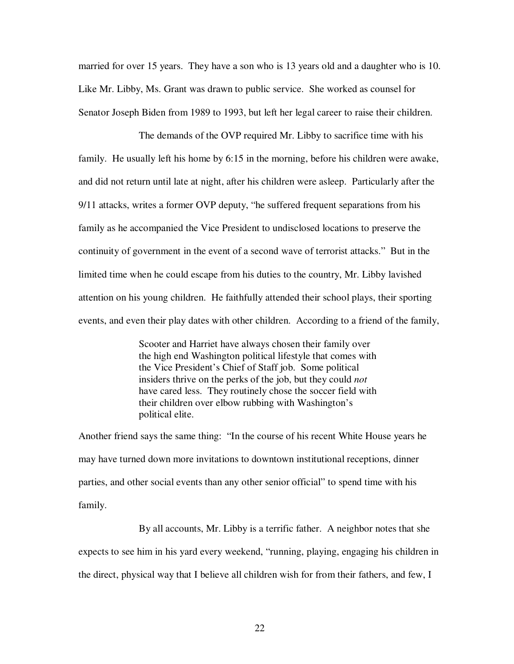married for over 15 years. They have a son who is 13 years old and a daughter who is 10. Like Mr. Libby, Ms. Grant was drawn to public service. She worked as counsel for Senator Joseph Biden from 1989 to 1993, but left her legal career to raise their children.

The demands of the OVP required Mr. Libby to sacrifice time with his family. He usually left his home by 6:15 in the morning, before his children were awake, and did not return until late at night, after his children were asleep. Particularly after the 9/11 attacks, writes a former OVP deputy, "he suffered frequent separations from his family as he accompanied the Vice President to undisclosed locations to preserve the continuity of government in the event of a second wave of terrorist attacks." But in the limited time when he could escape from his duties to the country, Mr. Libby lavished attention on his young children. He faithfully attended their school plays, their sporting events, and even their play dates with other children. According to a friend of the family,

> Scooter and Harriet have always chosen their family over the high end Washington political lifestyle that comes with the Vice President's Chief of Staff job. Some political insiders thrive on the perks of the job, but they could *not* have cared less. They routinely chose the soccer field with their children over elbow rubbing with Washington's political elite.

Another friend says the same thing: "In the course of his recent White House years he may have turned down more invitations to downtown institutional receptions, dinner parties, and other social events than any other senior official" to spend time with his family.

By all accounts, Mr. Libby is a terrific father. A neighbor notes that she expects to see him in his yard every weekend, "running, playing, engaging his children in the direct, physical way that I believe all children wish for from their fathers, and few, I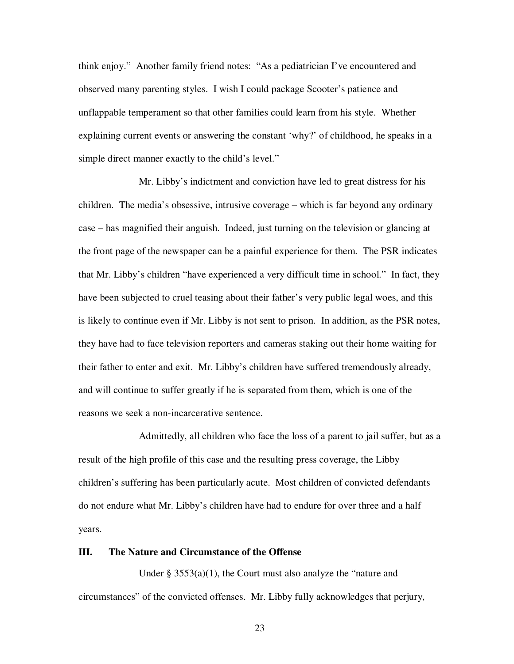think enjoy." Another family friend notes: "As a pediatrician I've encountered and observed many parenting styles. I wish I could package Scooter's patience and unflappable temperament so that other families could learn from his style. Whether explaining current events or answering the constant 'why?' of childhood, he speaks in a simple direct manner exactly to the child's level."

Mr. Libby's indictment and conviction have led to great distress for his children. The media's obsessive, intrusive coverage – which is far beyond any ordinary case – has magnified their anguish. Indeed, just turning on the television or glancing at the front page of the newspaper can be a painful experience for them. The PSR indicates that Mr. Libby's children "have experienced a very difficult time in school." In fact, they have been subjected to cruel teasing about their father's very public legal woes, and this is likely to continue even if Mr. Libby is not sent to prison. In addition, as the PSR notes, they have had to face television reporters and cameras staking out their home waiting for their father to enter and exit. Mr. Libby's children have suffered tremendously already, and will continue to suffer greatly if he is separated from them, which is one of the reasons we seek a non-incarcerative sentence.

Admittedly, all children who face the loss of a parent to jail suffer, but as a result of the high profile of this case and the resulting press coverage, the Libby children's suffering has been particularly acute. Most children of convicted defendants do not endure what Mr. Libby's children have had to endure for over three and a half years.

### **III. The Nature and Circumstance of the Offense**

Under § 3553(a)(1), the Court must also analyze the "nature and circumstances" of the convicted offenses. Mr. Libby fully acknowledges that perjury,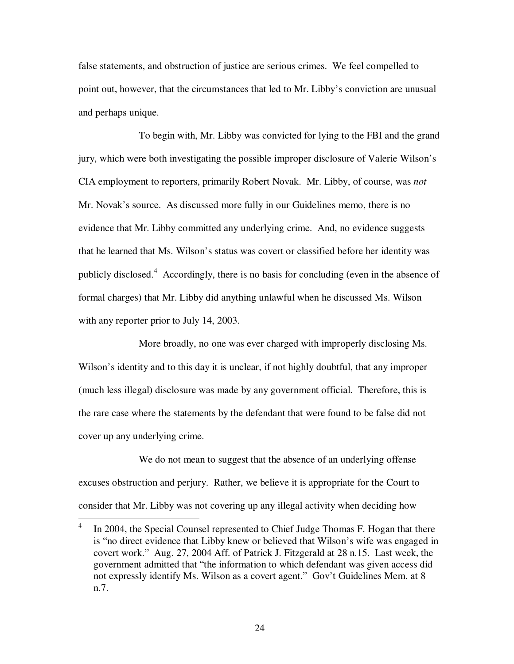false statements, and obstruction of justice are serious crimes. We feel compelled to point out, however, that the circumstances that led to Mr. Libby's conviction are unusual and perhaps unique.

To begin with, Mr. Libby was convicted for lying to the FBI and the grand jury, which were both investigating the possible improper disclosure of Valerie Wilson's CIA employment to reporters, primarily Robert Novak. Mr. Libby, of course, was *not* Mr. Novak's source. As discussed more fully in our Guidelines memo, there is no evidence that Mr. Libby committed any underlying crime. And, no evidence suggests that he learned that Ms. Wilson's status was covert or classified before her identity was publicly disclosed.<sup>4</sup> Accordingly, there is no basis for concluding (even in the absence of formal charges) that Mr. Libby did anything unlawful when he discussed Ms. Wilson with any reporter prior to July 14, 2003.

More broadly, no one was ever charged with improperly disclosing Ms. Wilson's identity and to this day it is unclear, if not highly doubtful, that any improper (much less illegal) disclosure was made by any government official. Therefore, this is the rare case where the statements by the defendant that were found to be false did not cover up any underlying crime.

We do not mean to suggest that the absence of an underlying offense excuses obstruction and perjury. Rather, we believe it is appropriate for the Court to consider that Mr. Libby was not covering up any illegal activity when deciding how

<sup>4</sup> In 2004, the Special Counsel represented to Chief Judge Thomas F. Hogan that there is "no direct evidence that Libby knew or believed that Wilson's wife was engaged in covert work." Aug. 27, 2004 Aff. of Patrick J. Fitzgerald at 28 n.15. Last week, the government admitted that "the information to which defendant was given access did not expressly identify Ms. Wilson as a covert agent." Gov't Guidelines Mem. at 8 n.7.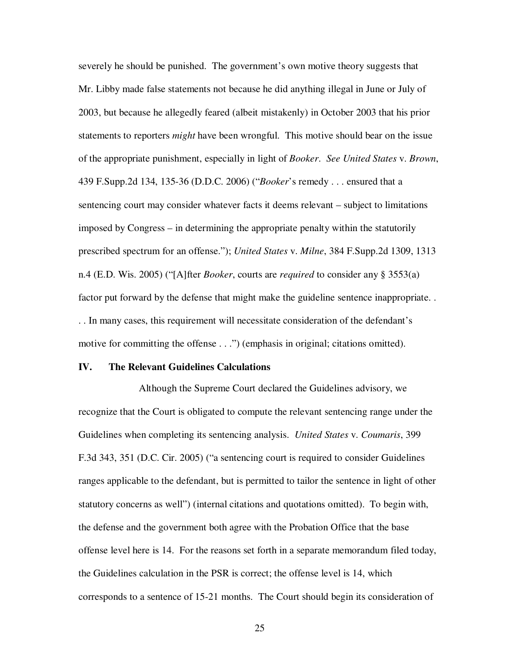severely he should be punished. The government's own motive theory suggests that Mr. Libby made false statements not because he did anything illegal in June or July of 2003, but because he allegedly feared (albeit mistakenly) in October 2003 that his prior statements to reporters *might* have been wrongful. This motive should bear on the issue of the appropriate punishment, especially in light of *Booker*. *See United States* v. *Brown*, 439 F.Supp.2d 134, 135-36 (D.D.C. 2006) ("*Booker*'s remedy . . . ensured that a sentencing court may consider whatever facts it deems relevant – subject to limitations imposed by Congress – in determining the appropriate penalty within the statutorily prescribed spectrum for an offense."); *United States* v. *Milne*, 384 F.Supp.2d 1309, 1313 n.4 (E.D. Wis. 2005) ("[A]fter *Booker*, courts are *required* to consider any § 3553(a) factor put forward by the defense that might make the guideline sentence inappropriate. . . In many cases, this requirement will necessitate consideration of the defendant's motive for committing the offense . . .") (emphasis in original; citations omitted).

#### **IV. The Relevant Guidelines Calculations**

Although the Supreme Court declared the Guidelines advisory, we recognize that the Court is obligated to compute the relevant sentencing range under the Guidelines when completing its sentencing analysis. *United States* v. *Coumaris*, 399 F.3d 343, 351 (D.C. Cir. 2005) ("a sentencing court is required to consider Guidelines ranges applicable to the defendant, but is permitted to tailor the sentence in light of other statutory concerns as well") (internal citations and quotations omitted). To begin with, the defense and the government both agree with the Probation Office that the base offense level here is 14. For the reasons set forth in a separate memorandum filed today, the Guidelines calculation in the PSR is correct; the offense level is 14, which corresponds to a sentence of 15-21 months. The Court should begin its consideration of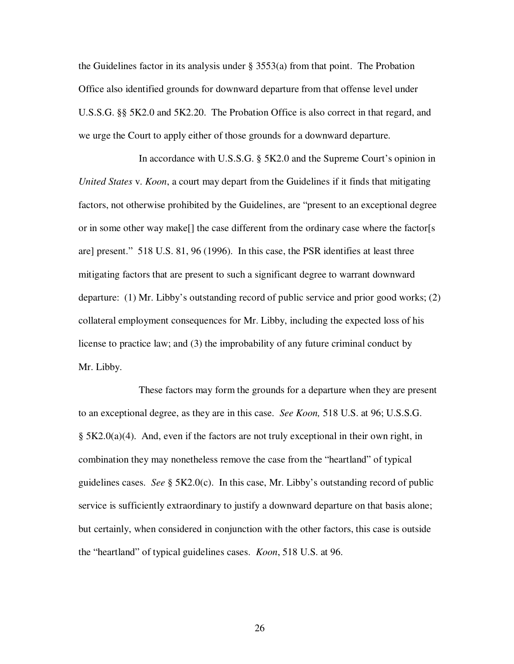the Guidelines factor in its analysis under § 3553(a) from that point. The Probation Office also identified grounds for downward departure from that offense level under U.S.S.G. §§ 5K2.0 and 5K2.20. The Probation Office is also correct in that regard, and we urge the Court to apply either of those grounds for a downward departure.

In accordance with U.S.S.G. § 5K2.0 and the Supreme Court's opinion in *United States* v. *Koon*, a court may depart from the Guidelines if it finds that mitigating factors, not otherwise prohibited by the Guidelines, are "present to an exceptional degree or in some other way make[] the case different from the ordinary case where the factor[s are] present." 518 U.S. 81, 96 (1996). In this case, the PSR identifies at least three mitigating factors that are present to such a significant degree to warrant downward departure: (1) Mr. Libby's outstanding record of public service and prior good works; (2) collateral employment consequences for Mr. Libby, including the expected loss of his license to practice law; and (3) the improbability of any future criminal conduct by Mr. Libby.

These factors may form the grounds for a departure when they are present to an exceptional degree, as they are in this case. *See Koon,* 518 U.S. at 96; U.S.S.G.  $\S$  5K2.0(a)(4). And, even if the factors are not truly exceptional in their own right, in combination they may nonetheless remove the case from the "heartland" of typical guidelines cases. *See* § 5K2.0(c). In this case, Mr. Libby's outstanding record of public service is sufficiently extraordinary to justify a downward departure on that basis alone; but certainly, when considered in conjunction with the other factors, this case is outside the "heartland" of typical guidelines cases. *Koon*, 518 U.S. at 96.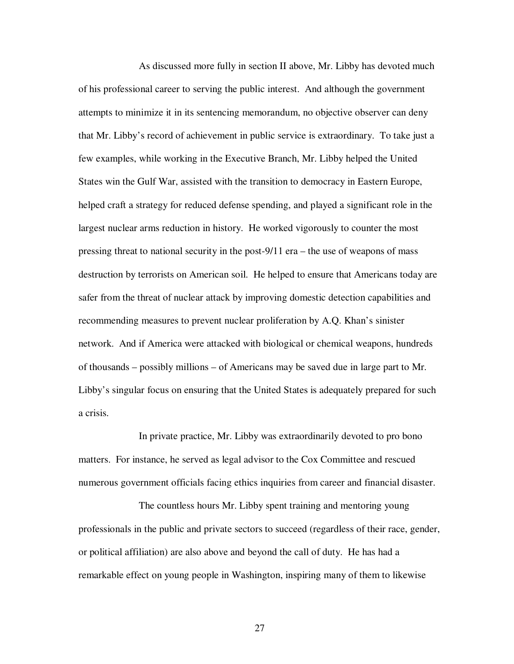As discussed more fully in section II above, Mr. Libby has devoted much of his professional career to serving the public interest. And although the government attempts to minimize it in its sentencing memorandum, no objective observer can deny that Mr. Libby's record of achievement in public service is extraordinary. To take just a few examples, while working in the Executive Branch, Mr. Libby helped the United States win the Gulf War, assisted with the transition to democracy in Eastern Europe, helped craft a strategy for reduced defense spending, and played a significant role in the largest nuclear arms reduction in history. He worked vigorously to counter the most pressing threat to national security in the post-9/11 era – the use of weapons of mass destruction by terrorists on American soil. He helped to ensure that Americans today are safer from the threat of nuclear attack by improving domestic detection capabilities and recommending measures to prevent nuclear proliferation by A.Q. Khan's sinister network. And if America were attacked with biological or chemical weapons, hundreds of thousands – possibly millions – of Americans may be saved due in large part to Mr. Libby's singular focus on ensuring that the United States is adequately prepared for such a crisis.

In private practice, Mr. Libby was extraordinarily devoted to pro bono matters. For instance, he served as legal advisor to the Cox Committee and rescued numerous government officials facing ethics inquiries from career and financial disaster.

The countless hours Mr. Libby spent training and mentoring young professionals in the public and private sectors to succeed (regardless of their race, gender, or political affiliation) are also above and beyond the call of duty. He has had a remarkable effect on young people in Washington, inspiring many of them to likewise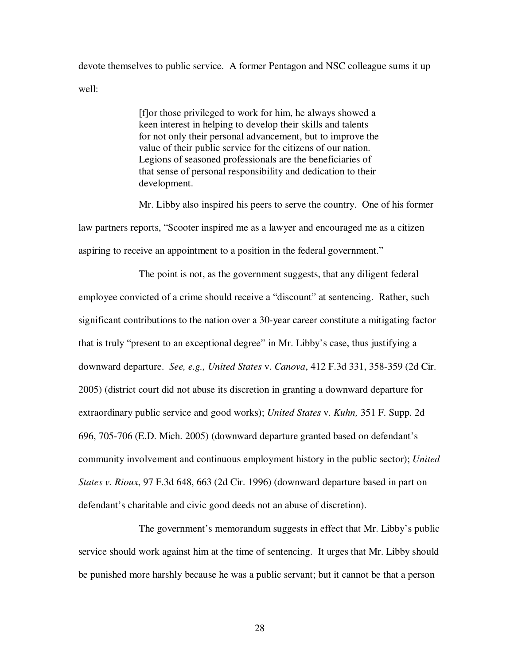devote themselves to public service. A former Pentagon and NSC colleague sums it up well:

> [f]or those privileged to work for him, he always showed a keen interest in helping to develop their skills and talents for not only their personal advancement, but to improve the value of their public service for the citizens of our nation. Legions of seasoned professionals are the beneficiaries of that sense of personal responsibility and dedication to their development.

Mr. Libby also inspired his peers to serve the country. One of his former law partners reports, "Scooter inspired me as a lawyer and encouraged me as a citizen aspiring to receive an appointment to a position in the federal government."

The point is not, as the government suggests, that any diligent federal employee convicted of a crime should receive a "discount" at sentencing. Rather, such significant contributions to the nation over a 30-year career constitute a mitigating factor that is truly "present to an exceptional degree" in Mr. Libby's case, thus justifying a downward departure. *See, e.g., United States* v. *Canova*, 412 F.3d 331, 358-359 (2d Cir. 2005) (district court did not abuse its discretion in granting a downward departure for extraordinary public service and good works); *United States* v. *Kuhn,* 351 F. Supp. 2d 696, 705-706 (E.D. Mich. 2005) (downward departure granted based on defendant's community involvement and continuous employment history in the public sector); *United States v. Rioux*, 97 F.3d 648, 663 (2d Cir. 1996) (downward departure based in part on defendant's charitable and civic good deeds not an abuse of discretion).

The government's memorandum suggests in effect that Mr. Libby's public service should work against him at the time of sentencing. It urges that Mr. Libby should be punished more harshly because he was a public servant; but it cannot be that a person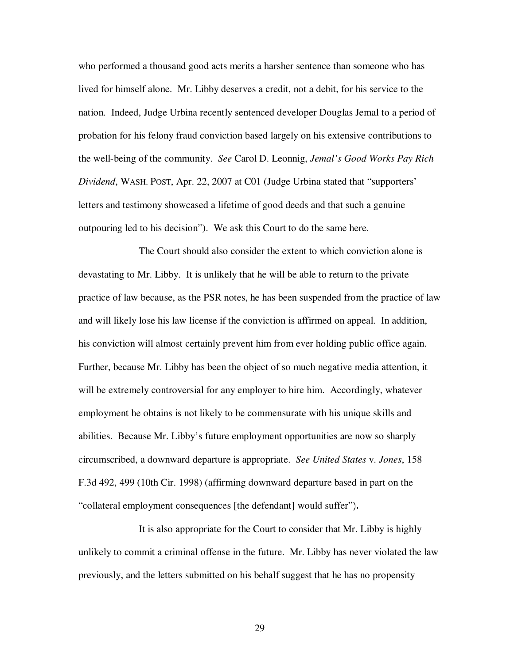who performed a thousand good acts merits a harsher sentence than someone who has lived for himself alone. Mr. Libby deserves a credit, not a debit, for his service to the nation. Indeed, Judge Urbina recently sentenced developer Douglas Jemal to a period of probation for his felony fraud conviction based largely on his extensive contributions to the well-being of the community. *See* Carol D. Leonnig, *Jemal's Good Works Pay Rich Dividend*, WASH. POST, Apr. 22, 2007 at C01 (Judge Urbina stated that "supporters' letters and testimony showcased a lifetime of good deeds and that such a genuine outpouring led to his decision"). We ask this Court to do the same here.

The Court should also consider the extent to which conviction alone is devastating to Mr. Libby. It is unlikely that he will be able to return to the private practice of law because, as the PSR notes, he has been suspended from the practice of law and will likely lose his law license if the conviction is affirmed on appeal. In addition, his conviction will almost certainly prevent him from ever holding public office again. Further, because Mr. Libby has been the object of so much negative media attention, it will be extremely controversial for any employer to hire him. Accordingly, whatever employment he obtains is not likely to be commensurate with his unique skills and abilities. Because Mr. Libby's future employment opportunities are now so sharply circumscribed, a downward departure is appropriate. *See United States* v. *Jones*, 158 F.3d 492, 499 (10th Cir. 1998) (affirming downward departure based in part on the "collateral employment consequences [the defendant] would suffer"

It is also appropriate for the Court to consider that Mr. Libby is highly unlikely to commit a criminal offense in the future. Mr. Libby has never violated the law previously, and the letters submitted on his behalf suggest that he has no propensity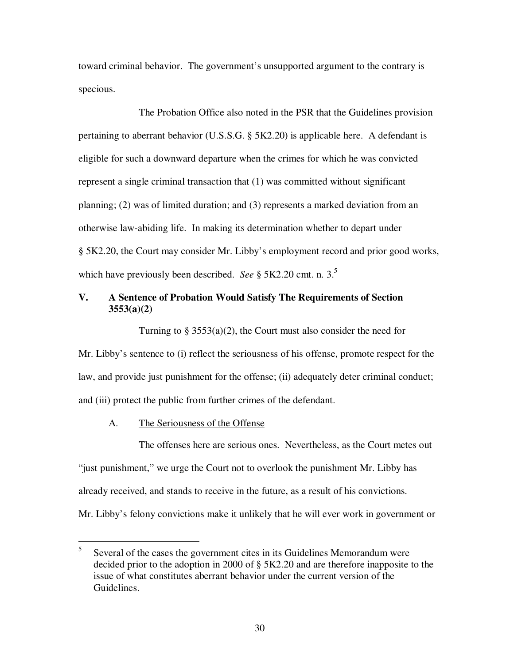toward criminal behavior. The government's unsupported argument to the contrary is specious.

The Probation Office also noted in the PSR that the Guidelines provision pertaining to aberrant behavior (U.S.S.G. § 5K2.20) is applicable here. A defendant is eligible for such a downward departure when the crimes for which he was convicted represent a single criminal transaction that (1) was committed without significant planning; (2) was of limited duration; and (3) represents a marked deviation from an otherwise law-abiding life. In making its determination whether to depart under § 5K2.20, the Court may consider Mr. Libby's employment record and prior good works, which have previously been described. *See* § 5K2.20 cmt. n. 3. 5

# **V. A Sentence of Probation Would Satisfy The Requirements of Section 3553(a)(2)**

Turning to  $\S 3553(a)(2)$ , the Court must also consider the need for

Mr. Libby's sentence to (i) reflect the seriousness of his offense, promote respect for the law, and provide just punishment for the offense; (ii) adequately deter criminal conduct; and (iii) protect the public from further crimes of the defendant.

#### A. The Seriousness of the Offense

The offenses here are serious ones. Nevertheless, as the Court metes out "just punishment," we urge the Court not to overlook the punishment Mr. Libby has already received, and stands to receive in the future, as a result of his convictions. Mr. Libby's felony convictions make it unlikely that he will ever work in government or

<sup>5</sup> Several of the cases the government cites in its Guidelines Memorandum were decided prior to the adoption in 2000 of § 5K2.20 and are therefore inapposite to the issue of what constitutes aberrant behavior under the current version of the Guidelines.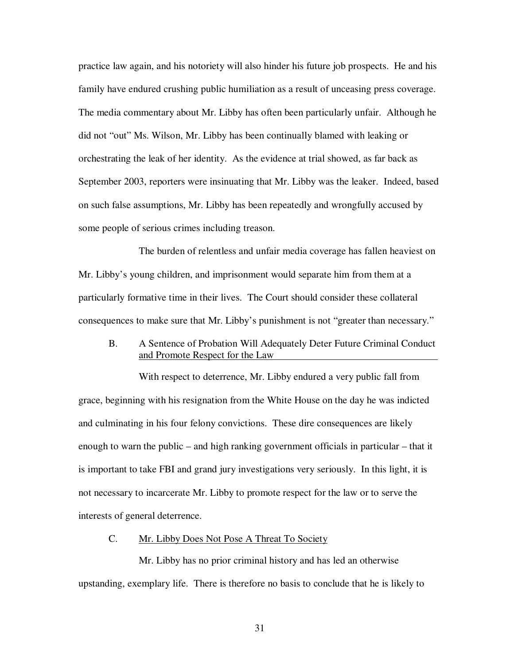practice law again, and his notoriety will also hinder his future job prospects. He and his family have endured crushing public humiliation as a result of unceasing press coverage. The media commentary about Mr. Libby has often been particularly unfair. Although he did not "out" Ms. Wilson, Mr. Libby has been continually blamed with leaking or orchestrating the leak of her identity. As the evidence at trial showed, as far back as September 2003, reporters were insinuating that Mr. Libby was the leaker. Indeed, based on such false assumptions, Mr. Libby has been repeatedly and wrongfully accused by some people of serious crimes including treason.

The burden of relentless and unfair media coverage has fallen heaviest on Mr. Libby's young children, and imprisonment would separate him from them at a particularly formative time in their lives. The Court should consider these collateral consequences to make sure that Mr. Libby's punishment is not "greater than necessary."

B. A Sentence of Probation Will Adequately Deter Future Criminal Conduct and Promote Respect for the Law

With respect to deterrence, Mr. Libby endured a very public fall from grace, beginning with his resignation from the White House on the day he was indicted and culminating in his four felony convictions. These dire consequences are likely enough to warn the public – and high ranking government officials in particular – that it is important to take FBI and grand jury investigations very seriously. In this light, it is not necessary to incarcerate Mr. Libby to promote respect for the law or to serve the interests of general deterrence.

#### C. Mr. Libby Does Not Pose A Threat To Society

Mr. Libby has no prior criminal history and has led an otherwise upstanding, exemplary life. There is therefore no basis to conclude that he is likely to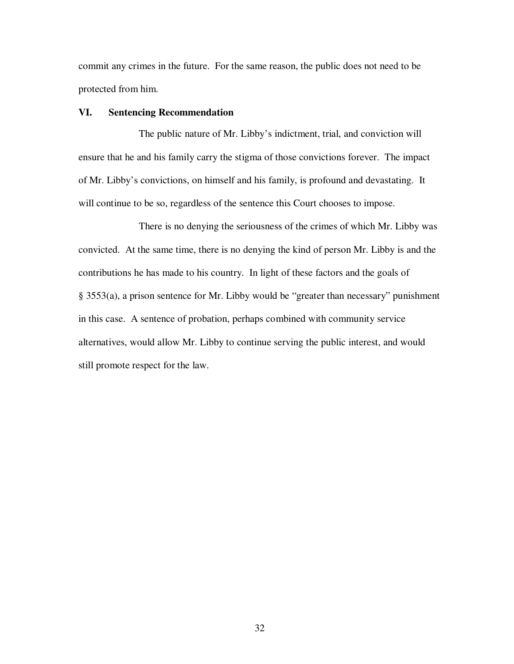commit any crimes in the future. For the same reason, the public does not need to be protected from him.

## **VI. Sentencing Recommendation**

The public nature of Mr. Libby's indictment, trial, and conviction will ensure that he and his family carry the stigma of those convictions forever. The impact of Mr. Libby's convictions, on himself and his family, is profound and devastating. It will continue to be so, regardless of the sentence this Court chooses to impose.

There is no denying the seriousness of the crimes of which Mr. Libby was convicted. At the same time, there is no denying the kind of person Mr. Libby is and the contributions he has made to his country. In light of these factors and the goals of § 3553(a), a prison sentence for Mr. Libby would be "greater than necessary" punishment in this case. A sentence of probation, perhaps combined with community service alternatives, would allow Mr. Libby to continue serving the public interest, and would still promote respect for the law.